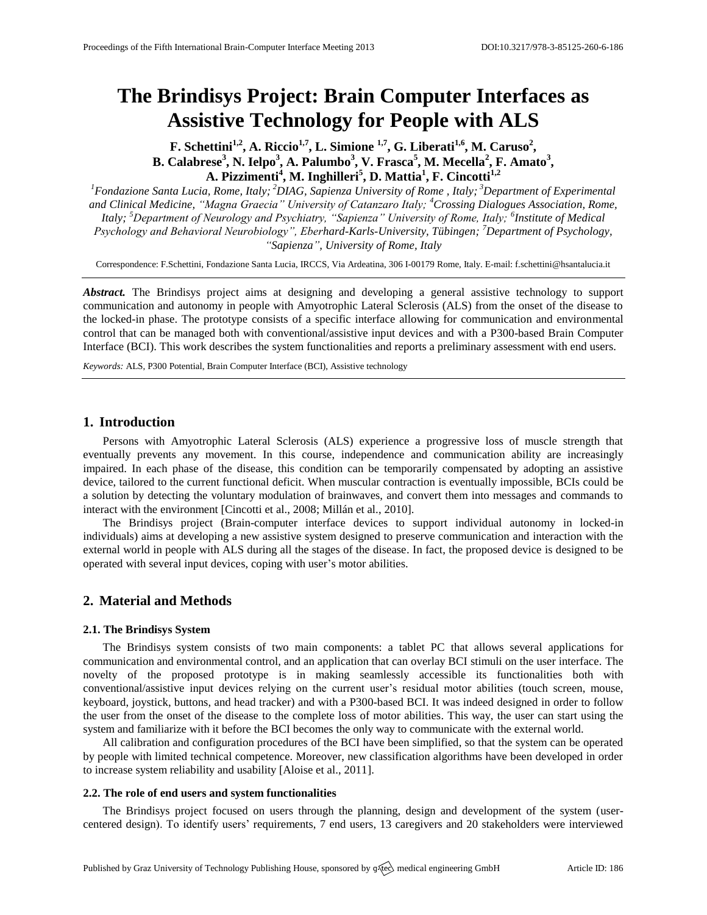# **The Brindisys Project: Brain Computer Interfaces as Assistive Technology for People with ALS**

**F. Schettini1,2, A. Riccio1,7, L. Simione 1,7, G. Liberati1,6, M. Caruso<sup>2</sup> , B. Calabrese<sup>3</sup> , N. Ielpo<sup>3</sup> , A. Palumbo<sup>3</sup> , V. Frasca<sup>5</sup> , M. Mecella<sup>2</sup> , F. Amato<sup>3</sup> , A. Pizzimenti<sup>4</sup> , M. Inghilleri<sup>5</sup> , D. Mattia<sup>1</sup> , F. Cincotti1,2**

*<sup>1</sup>Fondazione Santa Lucia, Rome, Italy; <sup>2</sup>DIAG, Sapienza University of Rome , Italy; <sup>3</sup>Department of Experimental and Clinical Medicine, "Magna Graecia" University of Catanzaro Italy; <sup>4</sup>Crossing Dialogues Association, Rome, Italy; <sup>5</sup>Department of Neurology and Psychiatry, "Sapienza" University of Rome, Italy; <sup>6</sup> Institute of Medical Psychology and Behavioral Neurobiology", Eberhard-Karls-University, Tübingen; <sup>7</sup>Department of Psychology, "Sapienza", University of Rome, Italy*

Correspondence: F.Schettini, Fondazione Santa Lucia, IRCCS, Via Ardeatina, 306 I-00179 Rome, Italy. E-mail[: f.schettini@hsantalucia.it](mailto:f.schettini@hsantalucia.it)

Abstract. The Brindisys project aims at designing and developing a general assistive technology to support communication and autonomy in people with Amyotrophic Lateral Sclerosis (ALS) from the onset of the disease to the locked-in phase. The prototype consists of a specific interface allowing for communication and environmental control that can be managed both with conventional/assistive input devices and with a P300-based Brain Computer Interface (BCI). This work describes the system functionalities and reports a preliminary assessment with end users.

*Keywords:* ALS, P300 Potential, Brain Computer Interface (BCI), Assistive technology

## **1. Introduction**

Persons with Amyotrophic Lateral Sclerosis (ALS) experience a progressive loss of muscle strength that eventually prevents any movement. In this course, independence and communication ability are increasingly impaired. In each phase of the disease, this condition can be temporarily compensated by adopting an assistive device, tailored to the current functional deficit. When muscular contraction is eventually impossible, BCIs could be a solution by detecting the voluntary modulation of brainwaves, and convert them into messages and commands to interact with the environment [Cincotti et al., 2008; Millán et al., 2010].

The Brindisys project (Brain-computer interface devices to support individual autonomy in locked-in individuals) aims at developing a new assistive system designed to preserve communication and interaction with the external world in people with ALS during all the stages of the disease. In fact, the proposed device is designed to be operated with several input devices, coping with user's motor abilities.

#### **2. Material and Methods**

#### **2.1. The Brindisys System**

The Brindisys system consists of two main components: a tablet PC that allows several applications for communication and environmental control, and an application that can overlay BCI stimuli on the user interface. The novelty of the proposed prototype is in making seamlessly accessible its functionalities both with conventional/assistive input devices relying on the current user's residual motor abilities (touch screen, mouse, keyboard, joystick, buttons, and head tracker) and with a P300-based BCI. It was indeed designed in order to follow the user from the onset of the disease to the complete loss of motor abilities. This way, the user can start using the system and familiarize with it before the BCI becomes the only way to communicate with the external world.

All calibration and configuration procedures of the BCI have been simplified, so that the system can be operated by people with limited technical competence. Moreover, new classification algorithms have been developed in order to increase system reliability and usability [Aloise et al., 2011].

#### **2.2. The role of end users and system functionalities**

The Brindisys project focused on users through the planning, design and development of the system (usercentered design). To identify users' requirements, 7 end users, 13 caregivers and 20 stakeholders were interviewed